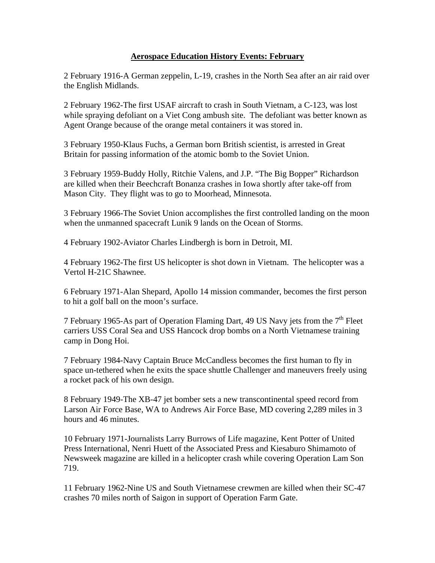## **Aerospace Education History Events: February**

2 February 1916-A German zeppelin, L-19, crashes in the North Sea after an air raid over the English Midlands.

2 February 1962-The first USAF aircraft to crash in South Vietnam, a C-123, was lost while spraying defoliant on a Viet Cong ambush site. The defoliant was better known as Agent Orange because of the orange metal containers it was stored in.

3 February 1950-Klaus Fuchs, a German born British scientist, is arrested in Great Britain for passing information of the atomic bomb to the Soviet Union.

3 February 1959-Buddy Holly, Ritchie Valens, and J.P. "The Big Bopper" Richardson are killed when their Beechcraft Bonanza crashes in Iowa shortly after take-off from Mason City. They flight was to go to Moorhead, Minnesota.

3 February 1966-The Soviet Union accomplishes the first controlled landing on the moon when the unmanned spacecraft Lunik 9 lands on the Ocean of Storms.

4 February 1902-Aviator Charles Lindbergh is born in Detroit, MI.

4 February 1962-The first US helicopter is shot down in Vietnam. The helicopter was a Vertol H-21C Shawnee.

6 February 1971-Alan Shepard, Apollo 14 mission commander, becomes the first person to hit a golf ball on the moon's surface.

7 February 1965-As part of Operation Flaming Dart, 49 US Navy jets from the  $7<sup>th</sup>$  Fleet carriers USS Coral Sea and USS Hancock drop bombs on a North Vietnamese training camp in Dong Hoi.

7 February 1984-Navy Captain Bruce McCandless becomes the first human to fly in space un-tethered when he exits the space shuttle Challenger and maneuvers freely using a rocket pack of his own design.

8 February 1949-The XB-47 jet bomber sets a new transcontinental speed record from Larson Air Force Base, WA to Andrews Air Force Base, MD covering 2,289 miles in 3 hours and 46 minutes.

10 February 1971-Journalists Larry Burrows of Life magazine, Kent Potter of United Press International, Nenri Huett of the Associated Press and Kiesaburo Shimamoto of Newsweek magazine are killed in a helicopter crash while covering Operation Lam Son 719.

11 February 1962-Nine US and South Vietnamese crewmen are killed when their SC-47 crashes 70 miles north of Saigon in support of Operation Farm Gate.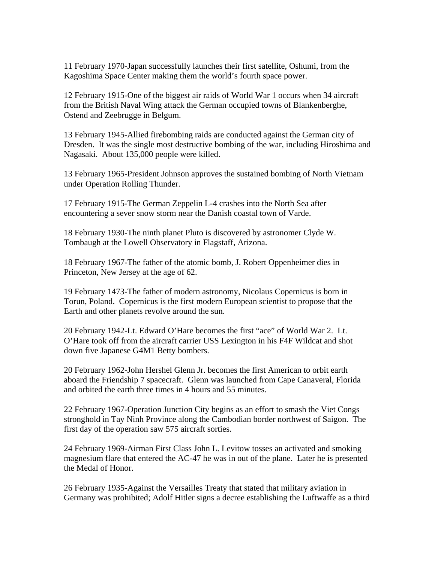11 February 1970-Japan successfully launches their first satellite, Oshumi, from the Kagoshima Space Center making them the world's fourth space power.

12 February 1915-One of the biggest air raids of World War 1 occurs when 34 aircraft from the British Naval Wing attack the German occupied towns of Blankenberghe, Ostend and Zeebrugge in Belgum.

13 February 1945-Allied firebombing raids are conducted against the German city of Dresden. It was the single most destructive bombing of the war, including Hiroshima and Nagasaki. About 135,000 people were killed.

13 February 1965-President Johnson approves the sustained bombing of North Vietnam under Operation Rolling Thunder.

17 February 1915-The German Zeppelin L-4 crashes into the North Sea after encountering a sever snow storm near the Danish coastal town of Varde.

18 February 1930-The ninth planet Pluto is discovered by astronomer Clyde W. Tombaugh at the Lowell Observatory in Flagstaff, Arizona.

18 February 1967-The father of the atomic bomb, J. Robert Oppenheimer dies in Princeton, New Jersey at the age of 62.

19 February 1473-The father of modern astronomy, Nicolaus Copernicus is born in Torun, Poland. Copernicus is the first modern European scientist to propose that the Earth and other planets revolve around the sun.

20 February 1942-Lt. Edward O'Hare becomes the first "ace" of World War 2. Lt. O'Hare took off from the aircraft carrier USS Lexington in his F4F Wildcat and shot down five Japanese G4M1 Betty bombers.

20 February 1962-John Hershel Glenn Jr. becomes the first American to orbit earth aboard the Friendship 7 spacecraft. Glenn was launched from Cape Canaveral, Florida and orbited the earth three times in 4 hours and 55 minutes.

22 February 1967-Operation Junction City begins as an effort to smash the Viet Congs stronghold in Tay Ninh Province along the Cambodian border northwest of Saigon. The first day of the operation saw 575 aircraft sorties.

24 February 1969-Airman First Class John L. Levitow tosses an activated and smoking magnesium flare that entered the AC-47 he was in out of the plane. Later he is presented the Medal of Honor.

26 February 1935-Against the Versailles Treaty that stated that military aviation in Germany was prohibited; Adolf Hitler signs a decree establishing the Luftwaffe as a third